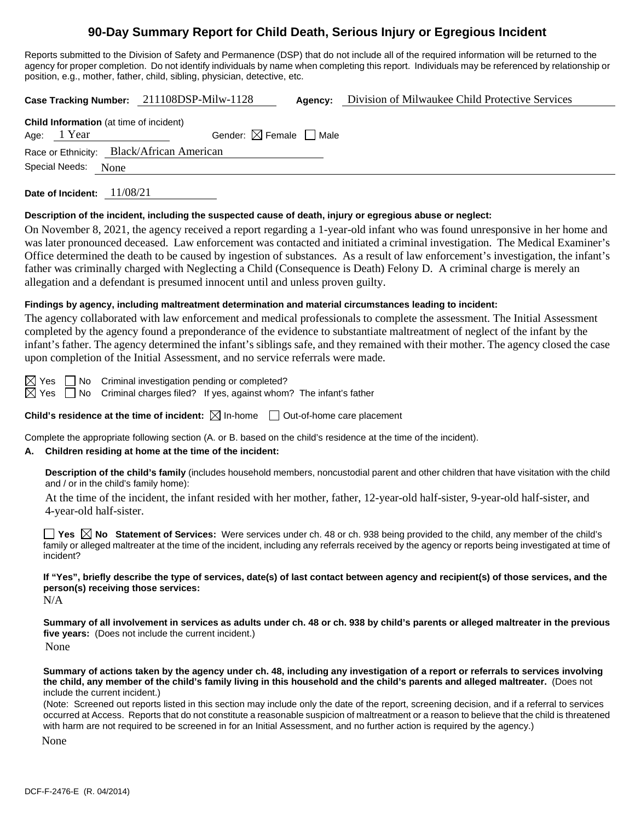# **90-Day Summary Report for Child Death, Serious Injury or Egregious Incident**

Reports submitted to the Division of Safety and Permanence (DSP) that do not include all of the required information will be returned to the agency for proper completion. Do not identify individuals by name when completing this report. Individuals may be referenced by relationship or position, e.g., mother, father, child, sibling, physician, detective, etc.

**Case Tracking Number:** 211108DSP-Milw-1128 **Agency:** Division of Milwaukee Child Protective Services

| <b>Child Information</b> (at time of incident) |  |                                           |  |  |  |
|------------------------------------------------|--|-------------------------------------------|--|--|--|
| Age: 1 Year                                    |  | Gender: $\boxtimes$ Female $\Box$ Male    |  |  |  |
|                                                |  | Race or Ethnicity: Black/African American |  |  |  |
| Special Needs: None                            |  |                                           |  |  |  |
|                                                |  |                                           |  |  |  |

**Date of Incident:** 11/08/21

# **Description of the incident, including the suspected cause of death, injury or egregious abuse or neglect:**

On November 8, 2021, the agency received a report regarding a 1-year-old infant who was found unresponsive in her home and was later pronounced deceased. Law enforcement was contacted and initiated a criminal investigation. The Medical Examiner's Office determined the death to be caused by ingestion of substances. As a result of law enforcement's investigation, the infant's father was criminally charged with Neglecting a Child (Consequence is Death) Felony D. A criminal charge is merely an allegation and a defendant is presumed innocent until and unless proven guilty.

# **Findings by agency, including maltreatment determination and material circumstances leading to incident:**

The agency collaborated with law enforcement and medical professionals to complete the assessment. The Initial Assessment completed by the agency found a preponderance of the evidence to substantiate maltreatment of neglect of the infant by the infant's father. The agency determined the infant's siblings safe, and they remained with their mother. The agency closed the case upon completion of the Initial Assessment, and no service referrals were made.

 $\boxtimes$  Yes  $\Box$  No Criminal investigation pending or completed?

 $\boxtimes$  Yes  $\Box$  No Criminal charges filed? If yes, against whom? The infant's father

**Child's residence at the time of incident:**  $\boxtimes$  In-home  $\Box$  Out-of-home care placement

Complete the appropriate following section (A. or B. based on the child's residence at the time of the incident).

# **A. Children residing at home at the time of the incident:**

**Description of the child's family** (includes household members, noncustodial parent and other children that have visitation with the child and / or in the child's family home):

At the time of the incident, the infant resided with her mother, father, 12-year-old half-sister, 9-year-old half-sister, and 4-year-old half-sister.

**Yes No Statement of Services:** Were services under ch. 48 or ch. 938 being provided to the child, any member of the child's family or alleged maltreater at the time of the incident, including any referrals received by the agency or reports being investigated at time of incident?

**If "Yes", briefly describe the type of services, date(s) of last contact between agency and recipient(s) of those services, and the person(s) receiving those services:**

N/A

**Summary of all involvement in services as adults under ch. 48 or ch. 938 by child's parents or alleged maltreater in the previous five years:** (Does not include the current incident.)

None

**Summary of actions taken by the agency under ch. 48, including any investigation of a report or referrals to services involving the child, any member of the child's family living in this household and the child's parents and alleged maltreater.** (Does not include the current incident.)

(Note: Screened out reports listed in this section may include only the date of the report, screening decision, and if a referral to services occurred at Access. Reports that do not constitute a reasonable suspicion of maltreatment or a reason to believe that the child is threatened with harm are not required to be screened in for an Initial Assessment, and no further action is required by the agency.)

None